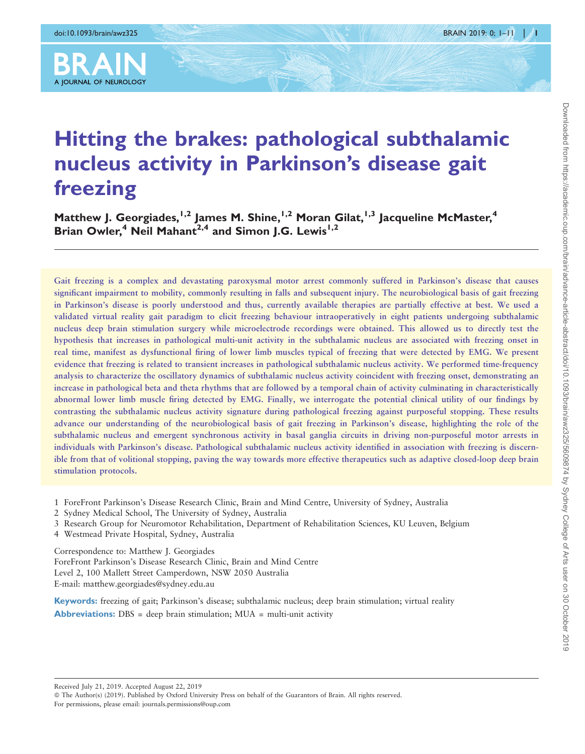

# Hitting the brakes: pathological subthalamic nucleus activity in Parkinson's disease gait freezing

Matthew J. Georgiades,<sup>1,2</sup> James M. Shine,<sup>1,2</sup> Moran Gilat,<sup>1,3</sup> Jacqueline McMaster,<sup>4</sup> Brian Owler,<sup>4</sup> Neil Mahant<sup>2,4</sup> and Simon J.G. Lewis<sup>1,2</sup>

Gait freezing is a complex and devastating paroxysmal motor arrest commonly suffered in Parkinson's disease that causes significant impairment to mobility, commonly resulting in falls and subsequent injury. The neurobiological basis of gait freezing in Parkinson's disease is poorly understood and thus, currently available therapies are partially effective at best. We used a validated virtual reality gait paradigm to elicit freezing behaviour intraoperatively in eight patients undergoing subthalamic nucleus deep brain stimulation surgery while microelectrode recordings were obtained. This allowed us to directly test the hypothesis that increases in pathological multi-unit activity in the subthalamic nucleus are associated with freezing onset in real time, manifest as dysfunctional firing of lower limb muscles typical of freezing that were detected by EMG. We present evidence that freezing is related to transient increases in pathological subthalamic nucleus activity. We performed time-frequency analysis to characterize the oscillatory dynamics of subthalamic nucleus activity coincident with freezing onset, demonstrating an increase in pathological beta and theta rhythms that are followed by a temporal chain of activity culminating in characteristically abnormal lower limb muscle firing detected by EMG. Finally, we interrogate the potential clinical utility of our findings by contrasting the subthalamic nucleus activity signature during pathological freezing against purposeful stopping. These results advance our understanding of the neurobiological basis of gait freezing in Parkinson's disease, highlighting the role of the subthalamic nucleus and emergent synchronous activity in basal ganglia circuits in driving non-purposeful motor arrests in individuals with Parkinson's disease. Pathological subthalamic nucleus activity identified in association with freezing is discernible from that of volitional stopping, paving the way towards more effective therapeutics such as adaptive closed-loop deep brain stimulation protocols.

- 1 ForeFront Parkinson's Disease Research Clinic, Brain and Mind Centre, University of Sydney, Australia
- 2 Sydney Medical School, The University of Sydney, Australia
- 3 Research Group for Neuromotor Rehabilitation, Department of Rehabilitation Sciences, KU Leuven, Belgium
- 4 Westmead Private Hospital, Sydney, Australia

Correspondence to: Matthew J. Georgiades ForeFront Parkinson's Disease Research Clinic, Brain and Mind Centre Level 2, 100 Mallett Street Camperdown, NSW 2050 Australia E-mail: matthew.georgiades@sydney.edu.au

Keywords: freezing of gait; Parkinson's disease; subthalamic nucleus; deep brain stimulation; virtual reality **Abbreviations:** DBS = deep brain stimulation;  $MUA =$  multi-unit activity

Received July 21, 2019. Accepted August 22, 2019

© The Author(s) (2019). Published by Oxford University Press on behalf of the Guarantors of Brain. All rights reserved. For permissions, please email: journals.permissions@oup.com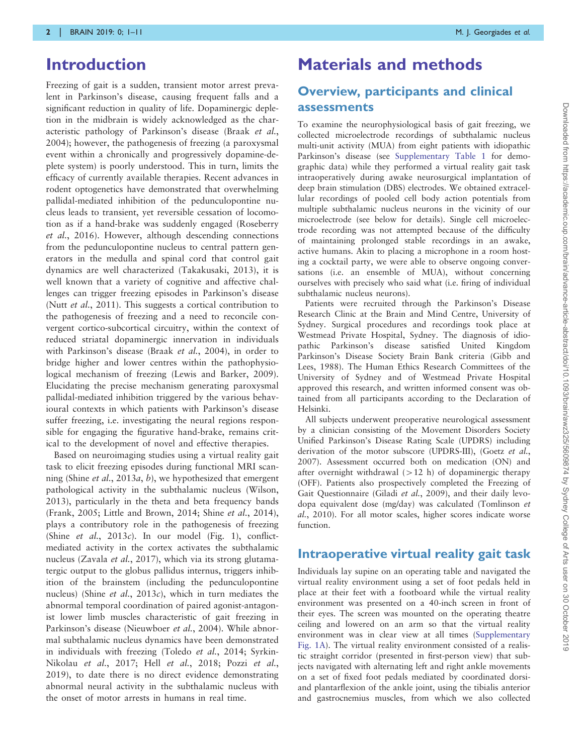# Introduction

Freezing of gait is a sudden, transient motor arrest prevalent in Parkinson's disease, causing frequent falls and a significant reduction in quality of life. Dopaminergic depletion in the midbrain is widely acknowledged as the characteristic pathology of Parkinson's disease ([Braak](#page-9-0) et al., [2004](#page-9-0)); however, the pathogenesis of freezing (a paroxysmal event within a chronically and progressively dopamine-deplete system) is poorly understood. This in turn, limits the efficacy of currently available therapies. Recent advances in rodent optogenetics have demonstrated that overwhelming pallidal-mediated inhibition of the pedunculopontine nucleus leads to transient, yet reversible cessation of locomotion as if a hand-brake was suddenly engaged ([Roseberry](#page-9-0) et al.[, 2016\)](#page-9-0). However, although descending connections from the pedunculopontine nucleus to central pattern generators in the medulla and spinal cord that control gait dynamics are well characterized [\(Takakusaki, 2013\)](#page-10-0), it is well known that a variety of cognitive and affective challenges can trigger freezing episodes in Parkinson's disease (Nutt *et al.*[, 2011](#page-9-0)). This suggests a cortical contribution to the pathogenesis of freezing and a need to reconcile convergent cortico-subcortical circuitry, within the context of reduced striatal dopaminergic innervation in individuals with Parkinson's disease (Braak et al.[, 2004](#page-9-0)), in order to bridge higher and lower centres within the pathophysiological mechanism of freezing ([Lewis and Barker, 2009\)](#page-9-0). Elucidating the precise mechanism generating paroxysmal pallidal-mediated inhibition triggered by the various behavioural contexts in which patients with Parkinson's disease suffer freezing, i.e. investigating the neural regions responsible for engaging the figurative hand-brake, remains critical to the development of novel and effective therapies.

Based on neuroimaging studies using a virtual reality gait task to elicit freezing episodes during functional MRI scan-ning (Shine et al.[, 2013](#page-9-0)a, [b](#page-10-0)), we hypothesized that emergent pathological activity in the subthalamic nucleus ([Wilson,](#page-10-0) [2013](#page-10-0)), particularly in the theta and beta frequency bands [\(Frank, 2005; Little and Brown, 2014;](#page-9-0) Shine et al.[, 2014\)](#page-10-0), plays a contributory role in the pathogenesis of freezing (Shine et al.[, 2013](#page-10-0)c). In our model [\(Fig. 1](#page-2-0)), conflictmediated activity in the cortex activates the subthalamic nucleus ([Zavala](#page-10-0) *et al.*, 2017), which via its strong glutamatergic output to the globus pallidus internus, triggers inhibition of the brainstem (including the pedunculopontine nucleus) (Shine et al.,  $2013c$ ), which in turn mediates the abnormal temporal coordination of paired agonist-antagonist lower limb muscles characteristic of gait freezing in Parkinson's disease ([Nieuwboer](#page-9-0) et al., 2004). While abnormal subthalamic nucleus dynamics have been demonstrated in individuals with freezing [\(Toledo](#page-10-0) et al., 2014; [Syrkin-](#page-10-0)[Nikolau](#page-10-0) et al., 2017; Hell et al.[, 2018;](#page-9-0) Pozzi [et al.](#page-9-0), [2019](#page-9-0)), to date there is no direct evidence demonstrating abnormal neural activity in the subthalamic nucleus with the onset of motor arrests in humans in real time.

# Materials and methods

## Overview, participants and clinical assessments

To examine the neurophysiological basis of gait freezing, we collected microelectrode recordings of subthalamic nucleus multi-unit activity (MUA) from eight patients with idiopathic Parkinson's disease (see [Supplementary Table 1](https://academic.oup.com/brain/article-lookup/doi/10.1093/brain/awz325#supplementary-data) for demographic data) while they performed a virtual reality gait task intraoperatively during awake neurosurgical implantation of deep brain stimulation (DBS) electrodes. We obtained extracellular recordings of pooled cell body action potentials from multiple subthalamic nucleus neurons in the vicinity of our microelectrode (see below for details). Single cell microelectrode recording was not attempted because of the difficulty of maintaining prolonged stable recordings in an awake, active humans. Akin to placing a microphone in a room hosting a cocktail party, we were able to observe ongoing conversations (i.e. an ensemble of MUA), without concerning ourselves with precisely who said what (i.e. firing of individual subthalamic nucleus neurons).

Patients were recruited through the Parkinson's Disease Research Clinic at the Brain and Mind Centre, University of Sydney. Surgical procedures and recordings took place at Westmead Private Hospital, Sydney. The diagnosis of idiopathic Parkinson's disease satisfied United Kingdom Parkinson's Disease Society Brain Bank criteria ([Gibb and](#page-9-0) [Lees, 1988](#page-9-0)). The Human Ethics Research Committees of the University of Sydney and of Westmead Private Hospital approved this research, and written informed consent was obtained from all participants according to the Declaration of Helsinki.

All subjects underwent preoperative neurological assessment by a clinician consisting of the Movement Disorders Society Unified Parkinson's Disease Rating Scale (UPDRS) including derivation of the motor subscore (UPDRS-III), ([Goetz](#page-9-0) et al., [2007\)](#page-9-0). Assessment occurred both on medication (ON) and after overnight withdrawal  $(>12 \text{ h})$  of dopaminergic therapy (OFF). Patients also prospectively completed the Freezing of Gait Questionnaire (Giladi et al.[, 2009](#page-9-0)), and their daily levodopa equivalent dose (mg/day) was calculated ([Tomlinson](#page-10-0) et al.[, 2010\)](#page-10-0). For all motor scales, higher scores indicate worse function.

### Intraoperative virtual reality gait task

Individuals lay supine on an operating table and navigated the virtual reality environment using a set of foot pedals held in place at their feet with a footboard while the virtual reality environment was presented on a 40-inch screen in front of their eyes. The screen was mounted on the operating theatre ceiling and lowered on an arm so that the virtual reality environment was in clear view at all times ([Supplementary](https://academic.oup.com/brain/article-lookup/doi/10.1093/brain/awz325#supplementary-data) [Fig. 1A](https://academic.oup.com/brain/article-lookup/doi/10.1093/brain/awz325#supplementary-data)). The virtual reality environment consisted of a realistic straight corridor (presented in first-person view) that subjects navigated with alternating left and right ankle movements on a set of fixed foot pedals mediated by coordinated dorsiand plantarflexion of the ankle joint, using the tibialis anterior and gastrocnemius muscles, from which we also collected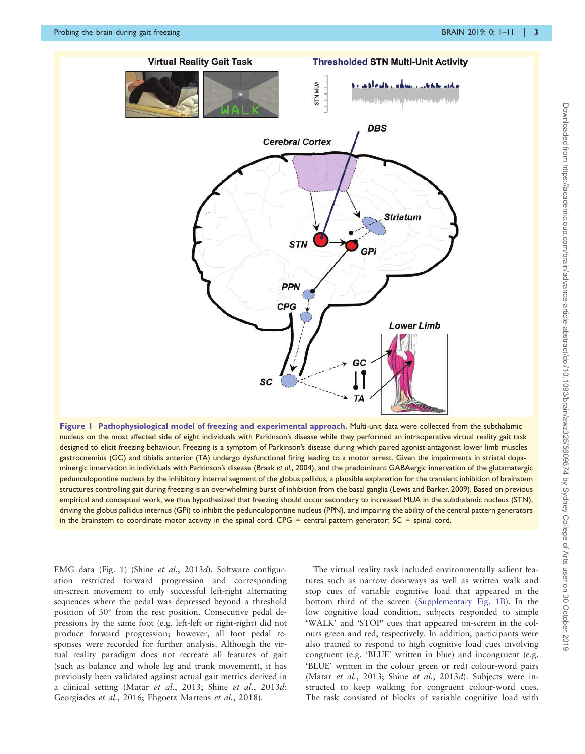<span id="page-2-0"></span>

Figure 1 Pathophysiological model of freezing and experimental approach. Multi-unit data were collected from the subthalamic nucleus on the most affected side of eight individuals with Parkinson's disease while they performed an intraoperative virtual reality gait task designed to elicit freezing behaviour. Freezing is a symptom of Parkinson's disease during which paired agonist-antagonist lower limb muscles gastrocnemius (GC) and tibialis anterior (TA) undergo dysfunctional firing leading to a motor arrest. Given the impairments in striatal dopaminergic innervation in individuals with Parkinson's disease (Braak et al.[, 2004\)](#page-9-0), and the predominant GABAergic innervation of the glutamatergic pedunculopontine nucleus by the inhibitory internal segment of the globus pallidus, a plausible explanation for the transient inhibition of brainstem structures controlling gait during freezing is an overwhelming burst of inhibition from the basal ganglia [\(Lewis and Barker, 2009\)](#page-9-0). Based on previous empirical and conceptual work, we thus hypothesized that freezing should occur secondary to increased MUA in the subthalamic nucleus (STN), driving the globus pallidus internus (GPi) to inhibit the pedunculopontine nucleus (PPN), and impairing the ability of the central pattern generators in the brainstem to coordinate motor activity in the spinal cord. CPG = central pattern generator;  $SC =$  spinal cord.

EMG data (Fig. 1) (Shine et al.[, 2013](#page-10-0)d). Software configuration restricted forward progression and corresponding on-screen movement to only successful left-right alternating sequences where the pedal was depressed beyond a threshold position of 30° from the rest position. Consecutive pedal depressions by the same foot (e.g. left-left or right-right) did not produce forward progression; however, all foot pedal responses were recorded for further analysis. Although the virtual reality paradigm does not recreate all features of gait (such as balance and whole leg and trunk movement), it has previously been validated against actual gait metrics derived in a clinical setting (Matar et al.[, 2013;](#page-9-0) Shine et al.[, 2013](#page-10-0)d; [Georgiades](#page-9-0) et al., 2016; [Ehgoetz Martens](#page-9-0) et al., 2018).

The virtual reality task included environmentally salient features such as narrow doorways as well as written walk and stop cues of variable cognitive load that appeared in the bottom third of the screen ([Supplementary Fig. 1B\)](https://academic.oup.com/brain/article-lookup/doi/10.1093/brain/awz325#supplementary-data). In the low cognitive load condition, subjects responded to simple 'WALK' and 'STOP' cues that appeared on-screen in the colours green and red, respectively. In addition, participants were also trained to respond to high cognitive load cues involving congruent (e.g. 'BLUE' written in blue) and incongruent (e.g. 'BLUE' written in the colour green or red) colour-word pairs (Matar et al.[, 2013](#page-10-0); Shine et al., 2013d). Subjects were instructed to keep walking for congruent colour-word cues. The task consisted of blocks of variable cognitive load with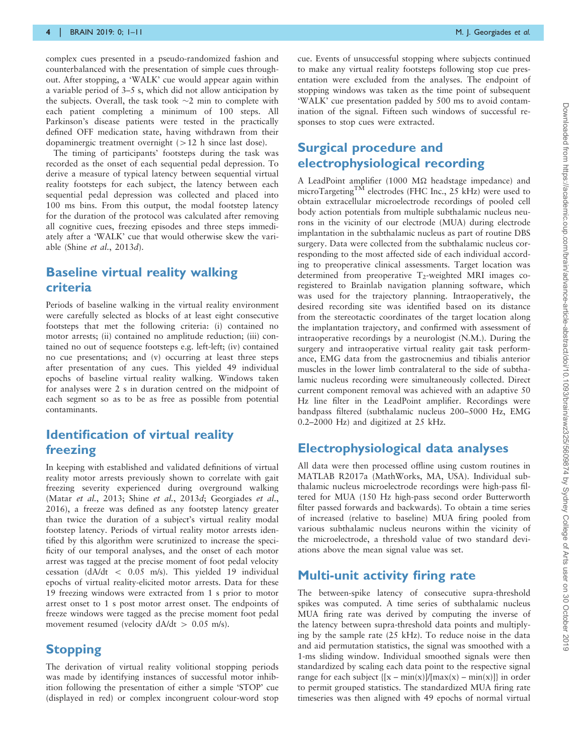complex cues presented in a pseudo-randomized fashion and counterbalanced with the presentation of simple cues throughout. After stopping, a 'WALK' cue would appear again within a variable period of 3–5 s, which did not allow anticipation by the subjects. Overall, the task took  $\sim$ 2 min to complete with each patient completing a minimum of 100 steps. All Parkinson's disease patients were tested in the practically defined OFF medication state, having withdrawn from their dopaminergic treatment overnight  $(>12$  h since last dose).

The timing of participants' footsteps during the task was recorded as the onset of each sequential pedal depression. To derive a measure of typical latency between sequential virtual reality footsteps for each subject, the latency between each sequential pedal depression was collected and placed into 100 ms bins. From this output, the modal footstep latency for the duration of the protocol was calculated after removing all cognitive cues, freezing episodes and three steps immediately after a 'WALK' cue that would otherwise skew the variable (Shine et al.[, 2013](#page-10-0)d).

### Baseline virtual reality walking criteria

Periods of baseline walking in the virtual reality environment were carefully selected as blocks of at least eight consecutive footsteps that met the following criteria: (i) contained no motor arrests; (ii) contained no amplitude reduction; (iii) contained no out of sequence footsteps e.g. left-left; (iv) contained no cue presentations; and (v) occurring at least three steps after presentation of any cues. This yielded 49 individual epochs of baseline virtual reality walking. Windows taken for analyses were 2 s in duration centred on the midpoint of each segment so as to be as free as possible from potential contaminants.

### Identification of virtual reality freezing

In keeping with established and validated definitions of virtual reality motor arrests previously shown to correlate with gait freezing severity experienced during overground walking (Matar et al.[, 2013](#page-10-0); Shine et al., 2013d; [Georgiades](#page-9-0) et al., [2016\)](#page-9-0), a freeze was defined as any footstep latency greater than twice the duration of a subject's virtual reality modal footstep latency. Periods of virtual reality motor arrests identified by this algorithm were scrutinized to increase the specificity of our temporal analyses, and the onset of each motor arrest was tagged at the precise moment of foot pedal velocity cessation (dA/dt <  $0.05$  m/s). This yielded 19 individual epochs of virtual reality-elicited motor arrests. Data for these 19 freezing windows were extracted from 1 s prior to motor arrest onset to 1 s post motor arrest onset. The endpoints of freeze windows were tagged as the precise moment foot pedal movement resumed (velocity  $dA/dt > 0.05$  m/s).

### **Stopping**

The derivation of virtual reality volitional stopping periods was made by identifying instances of successful motor inhibition following the presentation of either a simple 'STOP' cue (displayed in red) or complex incongruent colour-word stop

cue. Events of unsuccessful stopping where subjects continued to make any virtual reality footsteps following stop cue presentation were excluded from the analyses. The endpoint of stopping windows was taken as the time point of subsequent 'WALK' cue presentation padded by 500 ms to avoid contamination of the signal. Fifteen such windows of successful responses to stop cues were extracted.

### Surgical procedure and electrophysiological recording

A LeadPoint amplifier (1000 M $\Omega$  headstage impedance) and microTargeting<sup>TM</sup> electrodes (FHC Inc., 25 kHz) were used to obtain extracellular microelectrode recordings of pooled cell body action potentials from multiple subthalamic nucleus neurons in the vicinity of our electrode (MUA) during electrode implantation in the subthalamic nucleus as part of routine DBS surgery. Data were collected from the subthalamic nucleus corresponding to the most affected side of each individual according to preoperative clinical assessments. Target location was determined from preoperative  $T_2$ -weighted MRI images coregistered to Brainlab navigation planning software, which was used for the trajectory planning. Intraoperatively, the desired recording site was identified based on its distance from the stereotactic coordinates of the target location along the implantation trajectory, and confirmed with assessment of intraoperative recordings by a neurologist (N.M.). During the surgery and intraoperative virtual reality gait task performance, EMG data from the gastrocnemius and tibialis anterior muscles in the lower limb contralateral to the side of subthalamic nucleus recording were simultaneously collected. Direct current component removal was achieved with an adaptive 50 Hz line filter in the LeadPoint amplifier. Recordings were bandpass filtered (subthalamic nucleus 200–5000 Hz, EMG 0.2–2000 Hz) and digitized at 25 kHz.

### Electrophysiological data analyses

All data were then processed offline using custom routines in MATLAB R2017a (MathWorks, MA, USA). Individual subthalamic nucleus microelectrode recordings were high-pass filtered for MUA (150 Hz high-pass second order Butterworth filter passed forwards and backwards). To obtain a time series of increased (relative to baseline) MUA firing pooled from various subthalamic nucleus neurons within the vicinity of the microelectrode, a threshold value of two standard deviations above the mean signal value was set.

#### Multi-unit activity firing rate

The between-spike latency of consecutive supra-threshold spikes was computed. A time series of subthalamic nucleus MUA firing rate was derived by computing the inverse of the latency between supra-threshold data points and multiplying by the sample rate (25 kHz). To reduce noise in the data and aid permutation statistics, the signal was smoothed with a 1-ms sliding window. Individual smoothed signals were then standardized by scaling each data point to the respective signal range for each subject  $\{[x - min(x)] / [max(x) - min(x)]\}$  in order to permit grouped statistics. The standardized MUA firing rate timeseries was then aligned with 49 epochs of normal virtual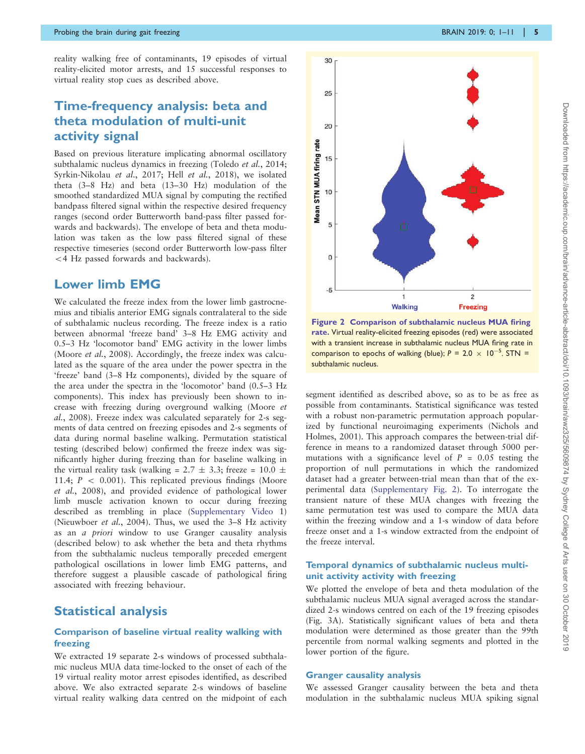<span id="page-4-0"></span>reality walking free of contaminants, 19 episodes of virtual reality-elicited motor arrests, and 15 successful responses to virtual reality stop cues as described above.

## Time-frequency analysis: beta and theta modulation of multi-unit activity signal

Based on previous literature implicating abnormal oscillatory subthalamic nucleus dynamics in freezing [\(Toledo](#page-10-0) et al., 2014; [Syrkin-Nikolau](#page-10-0) et al., 2017; Hell et al.[, 2018](#page-9-0)), we isolated theta (3–8 Hz) and beta (13–30 Hz) modulation of the smoothed standardized MUA signal by computing the rectified bandpass filtered signal within the respective desired frequency ranges (second order Butterworth band-pass filter passed forwards and backwards). The envelope of beta and theta modulation was taken as the low pass filtered signal of these respective timeseries (second order Butterworth low-pass filter 54 Hz passed forwards and backwards).

#### Lower limb EMG

We calculated the freeze index from the lower limb gastrocnemius and tibialis anterior EMG signals contralateral to the side of subthalamic nucleus recording. The freeze index is a ratio between abnormal 'freeze band' 3–8 Hz EMG activity and 0.5–3 Hz 'locomotor band' EMG activity in the lower limbs ([Moore](#page-9-0) et al., 2008). Accordingly, the freeze index was calculated as the square of the area under the power spectra in the 'freeze' band (3–8 Hz components), divided by the square of the area under the spectra in the 'locomotor' band (0.5–3 Hz components). This index has previously been shown to increase with freezing during overground walking [\(Moore](#page-9-0) et al.[, 2008\)](#page-9-0). Freeze index was calculated separately for 2-s segments of data centred on freezing episodes and 2-s segments of data during normal baseline walking. Permutation statistical testing (described below) confirmed the freeze index was significantly higher during freezing than for baseline walking in the virtual reality task (walking =  $2.7 \pm 3.3$ ; freeze =  $10.0 \pm$ 11.4;  $P \, < \, 0.001$ ). This replicated previous findings [\(Moore](#page-9-0) et al.[, 2008\)](#page-9-0), and provided evidence of pathological lower limb muscle activation known to occur during freezing described as trembling in place ([Supplementary Video](https://academic.oup.com/brain/article-lookup/doi/10.1093/brain/awz325#supplementary-data) 1) ([Nieuwboer](#page-9-0) et al., 2004). Thus, we used the 3–8 Hz activity as an a priori window to use Granger causality analysis (described below) to ask whether the beta and theta rhythms from the subthalamic nucleus temporally preceded emergent pathological oscillations in lower limb EMG patterns, and therefore suggest a plausible cascade of pathological firing associated with freezing behaviour.

### Statistical analysis

#### Comparison of baseline virtual reality walking with freezing

We extracted 19 separate 2-s windows of processed subthalamic nucleus MUA data time-locked to the onset of each of the 19 virtual reality motor arrest episodes identified, as described above. We also extracted separate 2-s windows of baseline virtual reality walking data centred on the midpoint of each



Figure 2 Comparison of subthalamic nucleus MUA firing rate. Virtual reality-elicited freezing episodes (red) were associated with a transient increase in subthalamic nucleus MUA firing rate in comparison to epochs of walking (blue);  $P = 2.0 \times 10^{-5}$ . STN = subthalamic nucleus.

segment identified as described above, so as to be as free as possible from contaminants. Statistical significance was tested with a robust non-parametric permutation approach popularized by functional neuroimaging experiments ([Nichols and](#page-9-0) [Holmes, 2001\)](#page-9-0). This approach compares the between-trial difference in means to a randomized dataset through 5000 permutations with a significance level of  $P = 0.05$  testing the proportion of null permutations in which the randomized dataset had a greater between-trial mean than that of the experimental data ([Supplementary Fig. 2\)](https://academic.oup.com/brain/article-lookup/doi/10.1093/brain/awz325#supplementary-data). To interrogate the transient nature of these MUA changes with freezing the same permutation test was used to compare the MUA data within the freezing window and a 1-s window of data before freeze onset and a 1-s window extracted from the endpoint of the freeze interval.

#### Temporal dynamics of subthalamic nucleus multiunit activity activity with freezing

We plotted the envelope of beta and theta modulation of the subthalamic nucleus MUA signal averaged across the standardized 2-s windows centred on each of the 19 freezing episodes [\(Fig. 3A\)](#page-5-0). Statistically significant values of beta and theta modulation were determined as those greater than the 99th percentile from normal walking segments and plotted in the lower portion of the figure.

#### Granger causality analysis

We assessed Granger causality between the beta and theta modulation in the subthalamic nucleus MUA spiking signal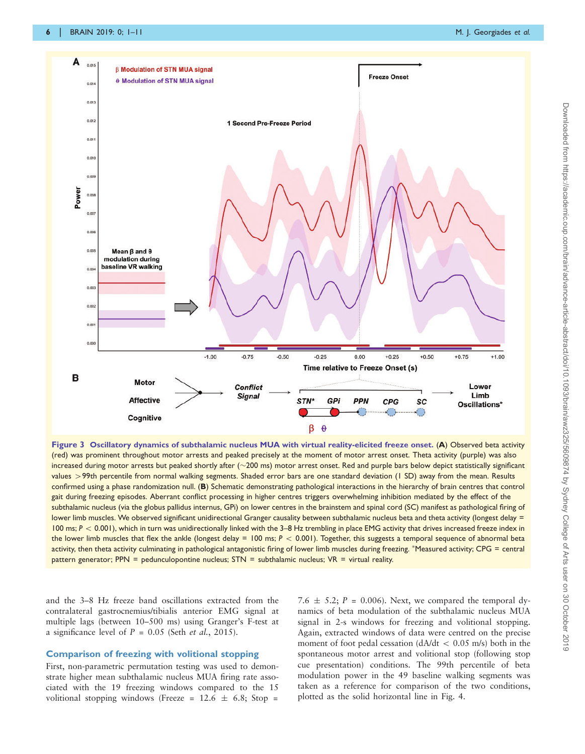<span id="page-5-0"></span>

Figure 3 Oscillatory dynamics of subthalamic nucleus MUA with virtual reality-elicited freeze onset. (A) Observed beta activity (red) was prominent throughout motor arrests and peaked precisely at the moment of motor arrest onset. Theta activity (purple) was also increased during motor arrests but peaked shortly after  $(\sim 200 \text{ ms})$  motor arrest onset. Red and purple bars below depict statistically significant values > 99th percentile from normal walking segments. Shaded error bars are one standard deviation (1 SD) away from the mean. Results confirmed using a phase randomization null. (B) Schematic demonstrating pathological interactions in the hierarchy of brain centres that control gait during freezing episodes. Aberrant conflict processing in higher centres triggers overwhelming inhibition mediated by the effect of the subthalamic nucleus (via the globus pallidus internus, GPi) on lower centres in the brainstem and spinal cord (SC) manifest as pathological firing of lower limb muscles. We observed significant unidirectional Granger causality between subthalamic nucleus beta and theta activity (longest delay = 100 ms;  $P < 0.001$ ), which in turn was unidirectionally linked with the 3–8 Hz trembling in place EMG activity that drives increased freeze index in the lower limb muscles that flex the ankle (longest delay = 100 ms;  $P < 0.001$ ). Together, this suggests a temporal sequence of abnormal beta activity, then theta activity culminating in pathological antagonistic firing of lower limb muscles during freezing. \*Measured activity; CPG = central pattern generator; PPN = pedunculopontine nucleus; STN = subthalamic nucleus; VR = virtual reality.

and the 3–8 Hz freeze band oscillations extracted from the contralateral gastrocnemius/tibialis anterior EMG signal at multiple lags (between 10–500 ms) using Granger's F-test at a significance level of  $P = 0.05$  (Seth *et al.*[, 2015](#page-9-0)).

#### Comparison of freezing with volitional stopping

First, non-parametric permutation testing was used to demonstrate higher mean subthalamic nucleus MUA firing rate associated with the 19 freezing windows compared to the 15 volitional stopping windows (Freeze =  $12.6 \pm 6.8$ ; Stop =

7.6  $\pm$  5.2; P = 0.006). Next, we compared the temporal dynamics of beta modulation of the subthalamic nucleus MUA signal in 2-s windows for freezing and volitional stopping. Again, extracted windows of data were centred on the precise moment of foot pedal cessation  $\frac{dA}{dt} < 0.05$  m/s) both in the spontaneous motor arrest and volitional stop (following stop cue presentation) conditions. The 99th percentile of beta modulation power in the 49 baseline walking segments was taken as a reference for comparison of the two conditions, plotted as the solid horizontal line in [Fig. 4](#page-6-0).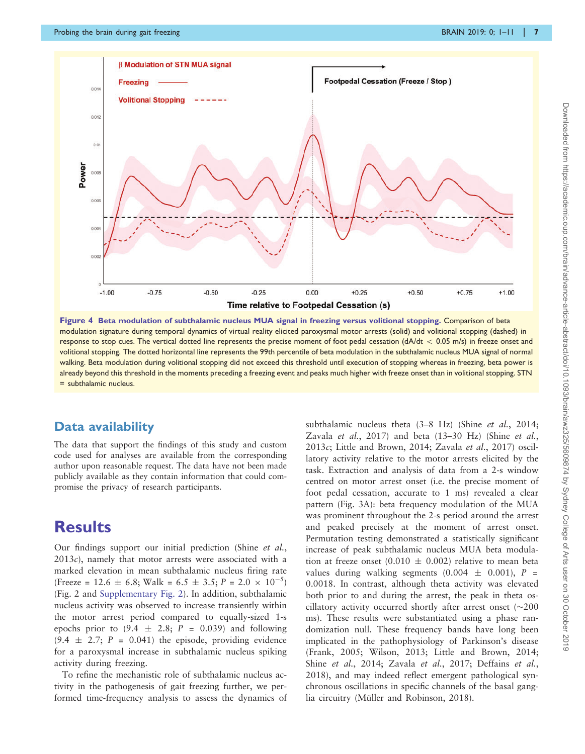<span id="page-6-0"></span>

Figure 4 Beta modulation of subthalamic nucleus MUA signal in freezing versus volitional stopping. Comparison of beta modulation signature during temporal dynamics of virtual reality elicited paroxysmal motor arrests (solid) and volitional stopping (dashed) in response to stop cues. The vertical dotted line represents the precise moment of foot pedal cessation ( $dA/dt < 0.05$  m/s) in freeze onset and volitional stopping. The dotted horizontal line represents the 99th percentile of beta modulation in the subthalamic nucleus MUA signal of normal walking. Beta modulation during volitional stopping did not exceed this threshold until execution of stopping whereas in freezing, beta power is already beyond this threshold in the moments preceding a freezing event and peaks much higher with freeze onset than in volitional stopping. STN = subthalamic nucleus.

### Data availability

The data that support the findings of this study and custom code used for analyses are available from the corresponding author upon reasonable request. The data have not been made publicly available as they contain information that could compromise the privacy of research participants.

# **Results**

Our findings support our initial prediction (Shine [et al.](#page-10-0),  $2013c$  $2013c$ , namely that motor arrests were associated with a marked elevation in mean subthalamic nucleus firing rate (Freeze = 12.6  $\pm$  6.8; Walk = 6.5  $\pm$  3.5; P = 2.0  $\times$  10<sup>-5</sup>) ([Fig. 2](#page-4-0) and [Supplementary Fig. 2\)](https://academic.oup.com/brain/article-lookup/doi/10.1093/brain/awz325#supplementary-data). In addition, subthalamic nucleus activity was observed to increase transiently within the motor arrest period compared to equally-sized 1-s epochs prior to  $(9.4 \pm 2.8; P = 0.039)$  and following  $(9.4 \pm 2.7; P = 0.041)$  the episode, providing evidence for a paroxysmal increase in subthalamic nucleus spiking activity during freezing.

To refine the mechanistic role of subthalamic nucleus activity in the pathogenesis of gait freezing further, we performed time-frequency analysis to assess the dynamics of subthalamic nucleus theta (3–8 Hz) (Shine et al.[, 2014;](#page-10-0) Zavala et al.[, 2017\)](#page-10-0) and beta (13–30 Hz) (Shine [et al.](#page-10-0), [2013](#page-10-0) $c$ ; [Little and Brown, 2014](#page-9-0); [Zavala](#page-10-0) et al., 2017) oscillatory activity relative to the motor arrests elicited by the task. Extraction and analysis of data from a 2-s window centred on motor arrest onset (i.e. the precise moment of foot pedal cessation, accurate to 1 ms) revealed a clear pattern ([Fig. 3A\):](#page-5-0) beta frequency modulation of the MUA was prominent throughout the 2-s period around the arrest and peaked precisely at the moment of arrest onset. Permutation testing demonstrated a statistically significant increase of peak subthalamic nucleus MUA beta modulation at freeze onset (0.010  $\pm$  0.002) relative to mean beta values during walking segments  $(0.004 \pm 0.001)$ , P = 0.0018. In contrast, although theta activity was elevated both prior to and during the arrest, the peak in theta oscillatory activity occurred shortly after arrest onset  $(\sim 200$ ms). These results were substantiated using a phase randomization null. These frequency bands have long been implicated in the pathophysiology of Parkinson's disease ([Frank, 2005;](#page-9-0) [Wilson, 2013;](#page-10-0) [Little and Brown, 2014;](#page-9-0) Shine et al.[, 2014](#page-10-0); Zavala et al.[, 2017](#page-10-0); [Deffains](#page-9-0) et al., [2018](#page-9-0)), and may indeed reflect emergent pathological synchronous oscillations in specific channels of the basal ganglia circuitry (Mü[ller and Robinson, 2018\)](#page-9-0).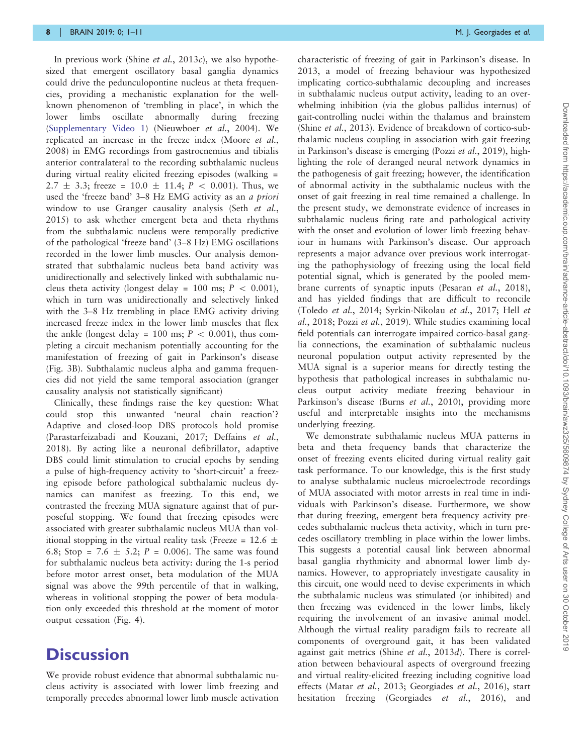In previous work (Shine *et al.*[, 2013](#page-10-0)*c*), we also hypothesized that emergent oscillatory basal ganglia dynamics could drive the pedunculopontine nucleus at theta frequencies, providing a mechanistic explanation for the wellknown phenomenon of 'trembling in place', in which the lower limbs oscillate abnormally during freezing [\(Supplementary Video 1](https://academic.oup.com/brain/article-lookup/doi/10.1093/brain/awz325#supplementary-data)) [\(Nieuwboer](#page-9-0) et al., 2004). We replicated an increase in the freeze index ([Moore](#page-9-0) et al., [2008](#page-9-0)) in EMG recordings from gastrocnemius and tibialis anterior contralateral to the recording subthalamic nucleus during virtual reality elicited freezing episodes (walking = 2.7  $\pm$  3.3; freeze = 10.0  $\pm$  11.4; P < 0.001). Thus, we used the 'freeze band' 3–8 Hz EMG activity as an a priori window to use Granger causality analysis (Seth [et al.](#page-9-0), [2015](#page-9-0)) to ask whether emergent beta and theta rhythms from the subthalamic nucleus were temporally predictive of the pathological 'freeze band' (3–8 Hz) EMG oscillations recorded in the lower limb muscles. Our analysis demonstrated that subthalamic nucleus beta band activity was unidirectionally and selectively linked with subthalamic nucleus theta activity (longest delay = 100 ms;  $P < 0.001$ ), which in turn was unidirectionally and selectively linked with the 3–8 Hz trembling in place EMG activity driving increased freeze index in the lower limb muscles that flex the ankle (longest delay = 100 ms;  $P < 0.001$ ), thus completing a circuit mechanism potentially accounting for the manifestation of freezing of gait in Parkinson's disease [\(Fig. 3B](#page-5-0)). Subthalamic nucleus alpha and gamma frequencies did not yield the same temporal association (granger causality analysis not statistically significant)

Clinically, these findings raise the key question: What could stop this unwanted 'neural chain reaction'? Adaptive and closed-loop DBS protocols hold promise [\(Parastarfeizabadi and Kouzani, 2017; Deffains](#page-9-0) et al., [2018](#page-9-0)). By acting like a neuronal defibrillator, adaptive DBS could limit stimulation to crucial epochs by sending a pulse of high-frequency activity to 'short-circuit' a freezing episode before pathological subthalamic nucleus dynamics can manifest as freezing. To this end, we contrasted the freezing MUA signature against that of purposeful stopping. We found that freezing episodes were associated with greater subthalamic nucleus MUA than volitional stopping in the virtual reality task (Freeze =  $12.6 \pm$ 6.8; Stop = 7.6  $\pm$  5.2; P = 0.006). The same was found for subthalamic nucleus beta activity: during the 1-s period before motor arrest onset, beta modulation of the MUA signal was above the 99th percentile of that in walking, whereas in volitional stopping the power of beta modulation only exceeded this threshold at the moment of motor output cessation [\(Fig. 4](#page-6-0)).

# **Discussion**

We provide robust evidence that abnormal subthalamic nucleus activity is associated with lower limb freezing and temporally precedes abnormal lower limb muscle activation

characteristic of freezing of gait in Parkinson's disease. In 2013, a model of freezing behaviour was hypothesized implicating cortico-subthalamic decoupling and increases in subthalamic nucleus output activity, leading to an overwhelming inhibition (via the globus pallidus internus) of gait-controlling nuclei within the thalamus and brainstem (Shine et al.[, 2013](#page-10-0)). Evidence of breakdown of cortico-subthalamic nucleus coupling in association with gait freezing in Parkinson's disease is emerging (Pozzi et al.[, 2019\)](#page-9-0), highlighting the role of deranged neural network dynamics in the pathogenesis of gait freezing; however, the identification of abnormal activity in the subthalamic nucleus with the onset of gait freezing in real time remained a challenge. In the present study, we demonstrate evidence of increases in subthalamic nucleus firing rate and pathological activity with the onset and evolution of lower limb freezing behaviour in humans with Parkinson's disease. Our approach represents a major advance over previous work interrogating the pathophysiology of freezing using the local field potential signal, which is generated by the pooled membrane currents of synaptic inputs [\(Pesaran](#page-9-0) et al., 2018), and has yielded findings that are difficult to reconcile [\(Toledo](#page-10-0) et al., 2014; [Syrkin-Nikolau](#page-10-0) et al., 2017; [Hell](#page-9-0) et al.[, 2018](#page-9-0); Pozzi et al.[, 2019](#page-9-0)). While studies examining local field potentials can interrogate impaired cortico-basal ganglia connections, the examination of subthalamic nucleus neuronal population output activity represented by the MUA signal is a superior means for directly testing the hypothesis that pathological increases in subthalamic nucleus output activity mediate freezing behaviour in Parkinson's disease (Burns et al.[, 2010](#page-9-0)), providing more useful and interpretable insights into the mechanisms underlying freezing.

We demonstrate subthalamic nucleus MUA patterns in beta and theta frequency bands that characterize the onset of freezing events elicited during virtual reality gait task performance. To our knowledge, this is the first study to analyse subthalamic nucleus microelectrode recordings of MUA associated with motor arrests in real time in individuals with Parkinson's disease. Furthermore, we show that during freezing, emergent beta frequency activity precedes subthalamic nucleus theta activity, which in turn precedes oscillatory trembling in place within the lower limbs. This suggests a potential causal link between abnormal basal ganglia rhythmicity and abnormal lower limb dynamics. However, to appropriately investigate causality in this circuit, one would need to devise experiments in which the subthalamic nucleus was stimulated (or inhibited) and then freezing was evidenced in the lower limbs, likely requiring the involvement of an invasive animal model. Although the virtual reality paradigm fails to recreate all components of overground gait, it has been validated against gait metrics (Shine et al.[, 2013](#page-10-0)d). There is correlation between behavioural aspects of overground freezing and virtual reality-elicited freezing including cognitive load effects (Matar et al.[, 2013](#page-9-0); [Georgiades](#page-9-0) et al., 2016), start hesitation freezing [\(Georgiades](#page-9-0) et al., 2016), and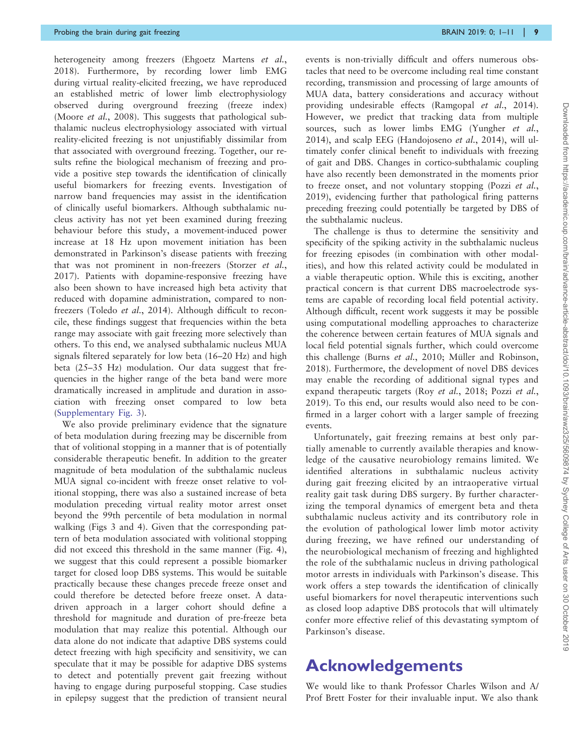heterogeneity among freezers [\(Ehgoetz Martens](#page-9-0) et al., [2018\)](#page-9-0). Furthermore, by recording lower limb EMG during virtual reality-elicited freezing, we have reproduced an established metric of lower limb electrophysiology observed during overground freezing (freeze index) ([Moore](#page-9-0) *et al.*, 2008). This suggests that pathological subthalamic nucleus electrophysiology associated with virtual reality-elicited freezing is not unjustifiably dissimilar from that associated with overground freezing. Together, our results refine the biological mechanism of freezing and provide a positive step towards the identification of clinically useful biomarkers for freezing events. Investigation of narrow band frequencies may assist in the identification of clinically useful biomarkers. Although subthalamic nucleus activity has not yet been examined during freezing behaviour before this study, a movement-induced power increase at 18 Hz upon movement initiation has been demonstrated in Parkinson's disease patients with freezing that was not prominent in non-freezers [\(Storzer](#page-10-0) et al., [2017\)](#page-10-0). Patients with dopamine-responsive freezing have also been shown to have increased high beta activity that reduced with dopamine administration, compared to nonfreezers [\(Toledo](#page-10-0) et al., 2014). Although difficult to reconcile, these findings suggest that frequencies within the beta range may associate with gait freezing more selectively than others. To this end, we analysed subthalamic nucleus MUA signals filtered separately for low beta (16–20 Hz) and high beta (25–35 Hz) modulation. Our data suggest that frequencies in the higher range of the beta band were more dramatically increased in amplitude and duration in association with freezing onset compared to low beta ([Supplementary Fig. 3](https://academic.oup.com/brain/article-lookup/doi/10.1093/brain/awz325#supplementary-data)).

We also provide preliminary evidence that the signature of beta modulation during freezing may be discernible from that of volitional stopping in a manner that is of potentially considerable therapeutic benefit. In addition to the greater magnitude of beta modulation of the subthalamic nucleus MUA signal co-incident with freeze onset relative to volitional stopping, there was also a sustained increase of beta modulation preceding virtual reality motor arrest onset beyond the 99th percentile of beta modulation in normal walking ([Figs 3 and 4](#page-5-0)). Given that the corresponding pattern of beta modulation associated with volitional stopping did not exceed this threshold in the same manner ([Fig. 4](#page-6-0)), we suggest that this could represent a possible biomarker target for closed loop DBS systems. This would be suitable practically because these changes precede freeze onset and could therefore be detected before freeze onset. A datadriven approach in a larger cohort should define a threshold for magnitude and duration of pre-freeze beta modulation that may realize this potential. Although our data alone do not indicate that adaptive DBS systems could detect freezing with high specificity and sensitivity, we can speculate that it may be possible for adaptive DBS systems to detect and potentially prevent gait freezing without having to engage during purposeful stopping. Case studies in epilepsy suggest that the prediction of transient neural

events is non-trivially difficult and offers numerous obstacles that need to be overcome including real time constant recording, transmission and processing of large amounts of MUA data, battery considerations and accuracy without providing undesirable effects [\(Ramgopal](#page-9-0) et al., 2014). However, we predict that tracking data from multiple sources, such as lower limbs EMG ([Yungher](#page-10-0) et al., [2014](#page-10-0)), and scalp EEG [\(Handojoseno](#page-9-0) et al., 2014), will ultimately confer clinical benefit to individuals with freezing of gait and DBS. Changes in cortico-subthalamic coupling have also recently been demonstrated in the moments prior to freeze onset, and not voluntary stopping (Pozzi [et al.](#page-9-0), [2019](#page-9-0)), evidencing further that pathological firing patterns preceding freezing could potentially be targeted by DBS of the subthalamic nucleus.

The challenge is thus to determine the sensitivity and specificity of the spiking activity in the subthalamic nucleus for freezing episodes (in combination with other modalities), and how this related activity could be modulated in a viable therapeutic option. While this is exciting, another practical concern is that current DBS macroelectrode systems are capable of recording local field potential activity. Although difficult, recent work suggests it may be possible using computational modelling approaches to characterize the coherence between certain features of MUA signals and local field potential signals further, which could overcome this challenge (Burns et al.[, 2010](#page-9-0); Mü[ller and Robinson,](#page-9-0) [2018](#page-9-0)). Furthermore, the development of novel DBS devices may enable the recording of additional signal types and expand therapeutic targets (Roy *et al.*[, 2018](#page-9-0); [Pozzi](#page-9-0) *et al.*, [2019](#page-9-0)). To this end, our results would also need to be confirmed in a larger cohort with a larger sample of freezing events.

Unfortunately, gait freezing remains at best only partially amenable to currently available therapies and knowledge of the causative neurobiology remains limited. We identified alterations in subthalamic nucleus activity during gait freezing elicited by an intraoperative virtual reality gait task during DBS surgery. By further characterizing the temporal dynamics of emergent beta and theta subthalamic nucleus activity and its contributory role in the evolution of pathological lower limb motor activity during freezing, we have refined our understanding of the neurobiological mechanism of freezing and highlighted the role of the subthalamic nucleus in driving pathological motor arrests in individuals with Parkinson's disease. This work offers a step towards the identification of clinically useful biomarkers for novel therapeutic interventions such as closed loop adaptive DBS protocols that will ultimately confer more effective relief of this devastating symptom of Parkinson's disease.

# Acknowledgements

We would like to thank Professor Charles Wilson and A/ Prof Brett Foster for their invaluable input. We also thank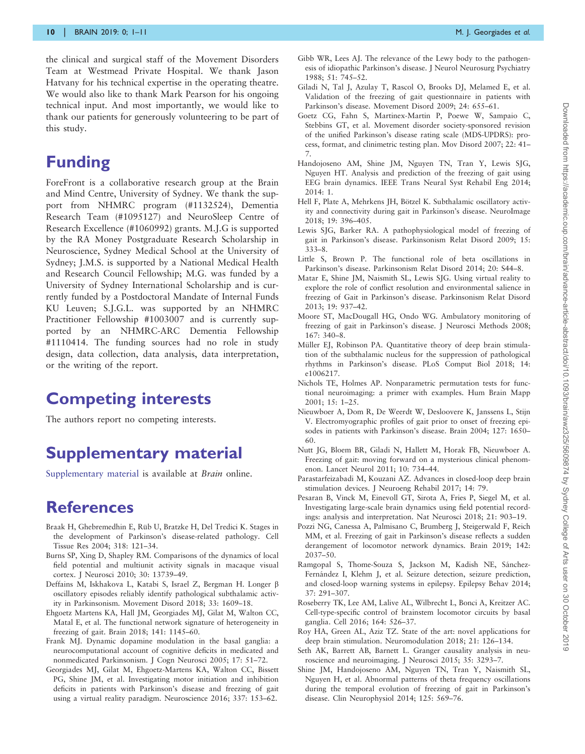<span id="page-9-0"></span>the clinical and surgical staff of the Movement Disorders Team at Westmead Private Hospital. We thank Jason Hatvany for his technical expertise in the operating theatre. We would also like to thank Mark Pearson for his ongoing technical input. And most importantly, we would like to thank our patients for generously volunteering to be part of this study.

# Funding

ForeFront is a collaborative research group at the Brain and Mind Centre, University of Sydney. We thank the support from NHMRC program (#1132524), Dementia Research Team (#1095127) and NeuroSleep Centre of Research Excellence (#1060992) grants. M.J.G is supported by the RA Money Postgraduate Research Scholarship in Neuroscience, Sydney Medical School at the University of Sydney; J.M.S. is supported by a National Medical Health and Research Council Fellowship; M.G. was funded by a University of Sydney International Scholarship and is currently funded by a Postdoctoral Mandate of Internal Funds KU Leuven; S.J.G.L. was supported by an NHMRC Practitioner Fellowship #1003007 and is currently supported by an NHMRC-ARC Dementia Fellowship #1110414. The funding sources had no role in study design, data collection, data analysis, data interpretation, or the writing of the report.

# Competing interests

The authors report no competing interests.

# Supplementary material

[Supplementary material](https://academic.oup.com/brain/article-lookup/doi/10.1093/brain/awz325#supplementary-data) is available at *Brain* online.

# References

- Braak H, Ghebremedhin E, Rüb U, Bratzke H, Del Tredici K. Stages in the development of Parkinson's disease-related pathology. Cell Tissue Res 2004; 318: 121–34.
- Burns SP, Xing D, Shapley RM. Comparisons of the dynamics of local field potential and multiunit activity signals in macaque visual cortex. J Neurosci 2010; 30: 13739–49.
- Deffains M, Iskhakova L, Katabi S, Israel Z, Bergman H. Longer β oscillatory episodes reliably identify pathological subthalamic activity in Parkinsonism. Movement Disord 2018; 33: 1609–18.
- Ehgoetz Martens KA, Hall JM, Georgiades MJ, Gilat M, Walton CC, Matal E, et al. The functional network signature of heterogeneity in freezing of gait. Brain 2018; 141: 1145–60.
- Frank MJ. Dynamic dopamine modulation in the basal ganglia: a neurocomputational account of cognitive deficits in medicated and nonmedicated Parkinsonism. J Cogn Neurosci 2005; 17: 51–72.
- Georgiades MJ, Gilat M, Ehgoetz-Martens KA, Walton CC, Bissett PG, Shine JM, et al. Investigating motor initiation and inhibition deficits in patients with Parkinson's disease and freezing of gait using a virtual reality paradigm. Neuroscience 2016; 337: 153–62.
- Gibb WR, Lees AJ. The relevance of the Lewy body to the pathogenesis of idiopathic Parkinson's disease. J Neurol Neurosurg Psychiatry 1988; 51: 745–52.
- Giladi N, Tal J, Azulay T, Rascol O, Brooks DJ, Melamed E, et al. Validation of the freezing of gait questionnaire in patients with Parkinson's disease. Movement Disord 2009; 24: 655–61.
- Goetz CG, Fahn S, Martinex-Martin P, Poewe W, Sampaio C, Stebbins GT, et al. Movement disorder society-sponsored revision of the unified Parkinson's disease rating scale (MDS-UPDRS): process, format, and clinimetric testing plan. Mov Disord 2007; 22: 41– 7.
- Handojoseno AM, Shine JM, Nguyen TN, Tran Y, Lewis SJG, Nguyen HT. Analysis and prediction of the freezing of gait using EEG brain dynamics. IEEE Trans Neural Syst Rehabil Eng 2014; 2014: 1.
- Hell F, Plate A, Mehrkens JH, Bötzel K. Subthalamic oscillatory activity and connectivity during gait in Parkinson's disease. NeuroImage 2018; 19: 396–405.
- Lewis SJG, Barker RA. A pathophysiological model of freezing of gait in Parkinson's disease. Parkinsonism Relat Disord 2009; 15: 333–8.
- Little S, Brown P. The functional role of beta oscillations in Parkinson's disease. Parkinsonism Relat Disord 2014; 20: S44–8.
- Matar E, Shine JM, Naismith SL, Lewis SJG. Using virtual reality to explore the role of conflict resolution and environmental salience in freezing of Gait in Parkinson's disease. Parkinsonism Relat Disord 2013; 19: 937–42.
- Moore ST, MacDougall HG, Ondo WG. Ambulatory monitoring of freezing of gait in Parkinson's disease. J Neurosci Methods 2008;  $167: 340 - 8$ .
- Müller EJ, Robinson PA. Quantitative theory of deep brain stimulation of the subthalamic nucleus for the suppression of pathological rhythms in Parkinson's disease. PLoS Comput Biol 2018; 14: e1006217.
- Nichols TE, Holmes AP. Nonparametric permutation tests for functional neuroimaging: a primer with examples. Hum Brain Mapp 2001; 15: 1–25.
- Nieuwboer A, Dom R, De Weerdt W, Desloovere K, Janssens L, Stijn V. Electromyographic profiles of gait prior to onset of freezing episodes in patients with Parkinson's disease. Brain 2004; 127: 1650– 60.
- Nutt JG, Bloem BR, Giladi N, Hallett M, Horak FB, Nieuwboer A. Freezing of gait: moving forward on a mysterious clinical phenomenon. Lancet Neurol 2011; 10: 734–44.
- Parastarfeizabadi M, Kouzani AZ. Advances in closed-loop deep brain stimulation devices. J Neuroeng Rehabil 2017; 14: 79.
- Pesaran B, Vinck M, Einevoll GT, Sirota A, Fries P, Siegel M, et al. Investigating large-scale brain dynamics using field potential recordings: analysis and interpretation. Nat Neurosci 2018; 21: 903–19.
- Pozzi NG, Canessa A, Palmisano C, Brumberg J, Steigerwald F, Reich MM, et al. Freezing of gait in Parkinson's disease reflects a sudden derangement of locomotor network dynamics. Brain 2019; 142: 2037–50.
- Ramgopal S, Thome-Souza S, Jackson M, Kadish NE, Sánchez-Fernández I, Klehm J, et al. Seizure detection, seizure prediction, and closed-loop warning systems in epilepsy. Epilepsy Behav 2014; 37: 291–307.
- Roseberry TK, Lee AM, Lalive AL, Wilbrecht L, Bonci A, Kreitzer AC. Cell-type-specific control of brainstem locomotor circuits by basal ganglia. Cell 2016; 164: 526–37.
- Roy HA, Green AL, Aziz TZ. State of the art: novel applications for deep brain stimulation. Neuromodulation 2018; 21: 126–134.
- Seth AK, Barrett AB, Barnett L. Granger causality analysis in neuroscience and neuroimaging. J Neurosci 2015; 35: 3293–7.
- Shine JM, Handojoseno AM, Nguyen TN, Tran Y, Naismith SL, Nguyen H, et al. Abnormal patterns of theta frequency oscillations during the temporal evolution of freezing of gait in Parkinson's disease. Clin Neurophysiol 2014; 125: 569–76.